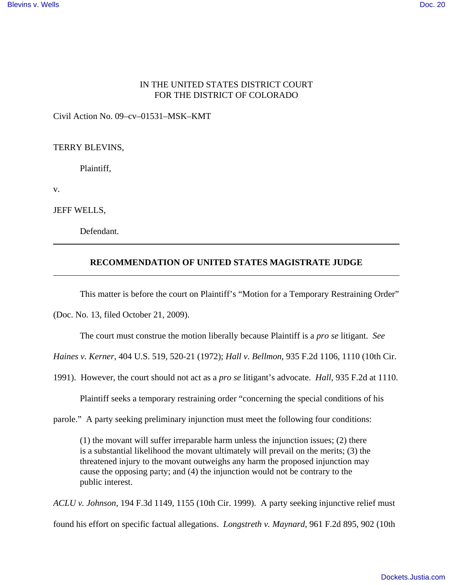## IN THE UNITED STATES DISTRICT COURT FOR THE DISTRICT OF COLORADO

Civil Action No. 09–cv–01531–MSK–KMT

TERRY BLEVINS,

Plaintiff,

v.

JEFF WELLS,

Defendant.

## **RECOMMENDATION OF UNITED STATES MAGISTRATE JUDGE**

This matter is before the court on Plaintiff's "Motion for a Temporary Restraining Order"

(Doc. No. 13, filed October 21, 2009).

The court must construe the motion liberally because Plaintiff is a *pro se* litigant. *See*

*Haines v. Kerner*, 404 U.S. 519, 520-21 (1972); *Hall v. Bellmon*, 935 F.2d 1106, 1110 (10th Cir.

1991). However, the court should not act as a *pro se* litigant's advocate. *Hall*, 935 F.2d at 1110.

Plaintiff seeks a temporary restraining order "concerning the special conditions of his

parole." A party seeking preliminary injunction must meet the following four conditions:

(1) the movant will suffer irreparable harm unless the injunction issues; (2) there is a substantial likelihood the movant ultimately will prevail on the merits; (3) the threatened injury to the movant outweighs any harm the proposed injunction may cause the opposing party; and (4) the injunction would not be contrary to the public interest.

*ACLU v. Johnson*, 194 F.3d 1149, 1155 (10th Cir. 1999). A party seeking injunctive relief must found his effort on specific factual allegations. *Longstreth v. Maynard*, 961 F.2d 895, 902 (10th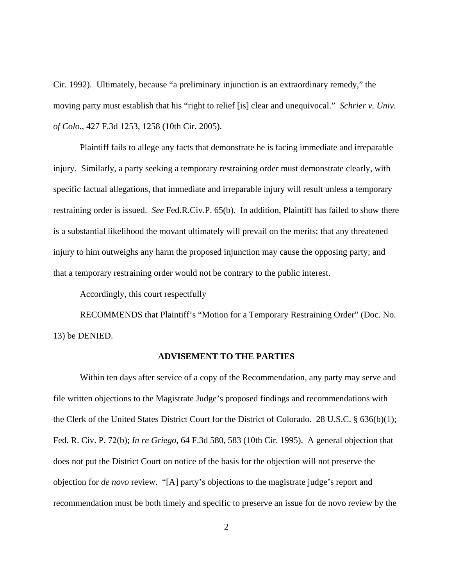Cir. 1992). Ultimately, because "a preliminary injunction is an extraordinary remedy," the moving party must establish that his "right to relief [is] clear and unequivocal." *Schrier v. Univ. of Colo.*, 427 F.3d 1253, 1258 (10th Cir. 2005).

Plaintiff fails to allege any facts that demonstrate he is facing immediate and irreparable injury. Similarly, a party seeking a temporary restraining order must demonstrate clearly, with specific factual allegations, that immediate and irreparable injury will result unless a temporary restraining order is issued. *See* Fed.R.Civ.P. 65(b). In addition, Plaintiff has failed to show there is a substantial likelihood the movant ultimately will prevail on the merits; that any threatened injury to him outweighs any harm the proposed injunction may cause the opposing party; and that a temporary restraining order would not be contrary to the public interest.

Accordingly, this court respectfully

RECOMMENDS that Plaintiff's "Motion for a Temporary Restraining Order" (Doc. No. 13) be DENIED.

## **ADVISEMENT TO THE PARTIES**

Within ten days after service of a copy of the Recommendation, any party may serve and file written objections to the Magistrate Judge's proposed findings and recommendations with the Clerk of the United States District Court for the District of Colorado. 28 U.S.C. § 636(b)(1); Fed. R. Civ. P. 72(b); *In re Griego*, 64 F.3d 580, 583 (10th Cir. 1995). A general objection that does not put the District Court on notice of the basis for the objection will not preserve the objection for *de novo* review. "[A] party's objections to the magistrate judge's report and recommendation must be both timely and specific to preserve an issue for de novo review by the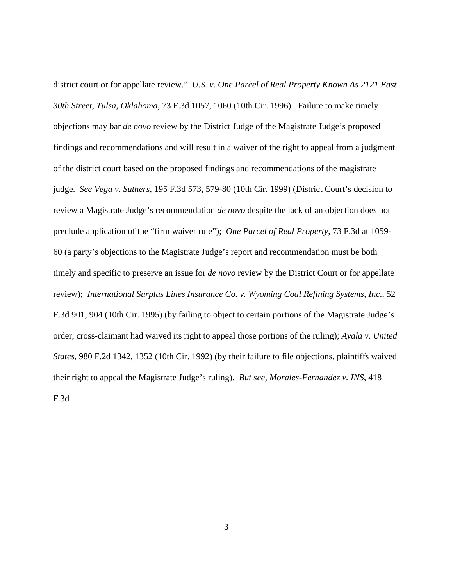district court or for appellate review." *U.S. v. One Parcel of Real Property Known As 2121 East 30th Street, Tulsa, Oklahoma*, 73 F.3d 1057, 1060 (10th Cir. 1996). Failure to make timely objections may bar *de novo* review by the District Judge of the Magistrate Judge's proposed findings and recommendations and will result in a waiver of the right to appeal from a judgment of the district court based on the proposed findings and recommendations of the magistrate judge. *See Vega v. Suthers*, 195 F.3d 573, 579-80 (10th Cir. 1999) (District Court's decision to review a Magistrate Judge's recommendation *de novo* despite the lack of an objection does not preclude application of the "firm waiver rule"); *One Parcel of Real Property*, 73 F.3d at 1059- 60 (a party's objections to the Magistrate Judge's report and recommendation must be both timely and specific to preserve an issue for *de novo* review by the District Court or for appellate review); *International Surplus Lines Insurance Co. v. Wyoming Coal Refining Systems, Inc*., 52 F.3d 901, 904 (10th Cir. 1995) (by failing to object to certain portions of the Magistrate Judge's order, cross-claimant had waived its right to appeal those portions of the ruling); *Ayala v. United States*, 980 F.2d 1342, 1352 (10th Cir. 1992) (by their failure to file objections, plaintiffs waived their right to appeal the Magistrate Judge's ruling). *But see, Morales-Fernandez v. INS*, 418 F.3d